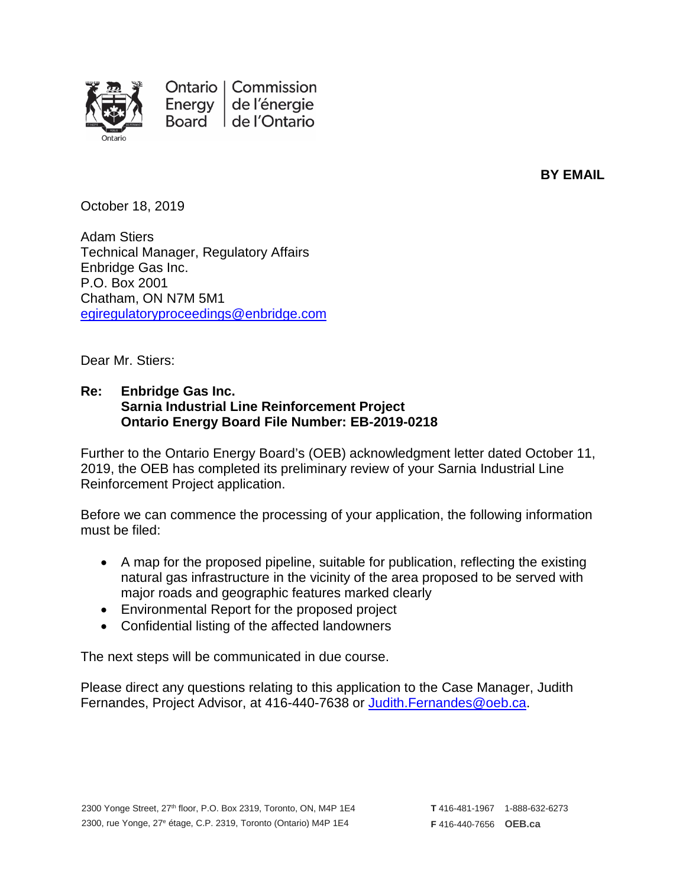

Ontario | Commission Energy de l'énergie Board de l'Ontario

**BY EMAIL**

October 18, 2019

Adam Stiers Technical Manager, Regulatory Affairs Enbridge Gas Inc. P.O. Box 2001 Chatham, ON N7M 5M1 [egiregulatoryproceedings@enbridge.com](mailto:egiregulatoryproceedings@enbridge.com)

Dear Mr. Stiers:

## **Re: Enbridge Gas Inc. Sarnia Industrial Line Reinforcement Project Ontario Energy Board File Number: EB-2019-0218**

Further to the Ontario Energy Board's (OEB) acknowledgment letter dated October 11, 2019, the OEB has completed its preliminary review of your Sarnia Industrial Line Reinforcement Project application.

Before we can commence the processing of your application, the following information must be filed:

- A map for the proposed pipeline, suitable for publication, reflecting the existing natural gas infrastructure in the vicinity of the area proposed to be served with major roads and geographic features marked clearly
- Environmental Report for the proposed project
- Confidential listing of the affected landowners

The next steps will be communicated in due course.

Please direct any questions relating to this application to the Case Manager, Judith Fernandes, Project Advisor, at 416-440-7638 or [Judith.Fernandes@oeb.ca.](mailto:Judith.Fernandes@oeb.ca)